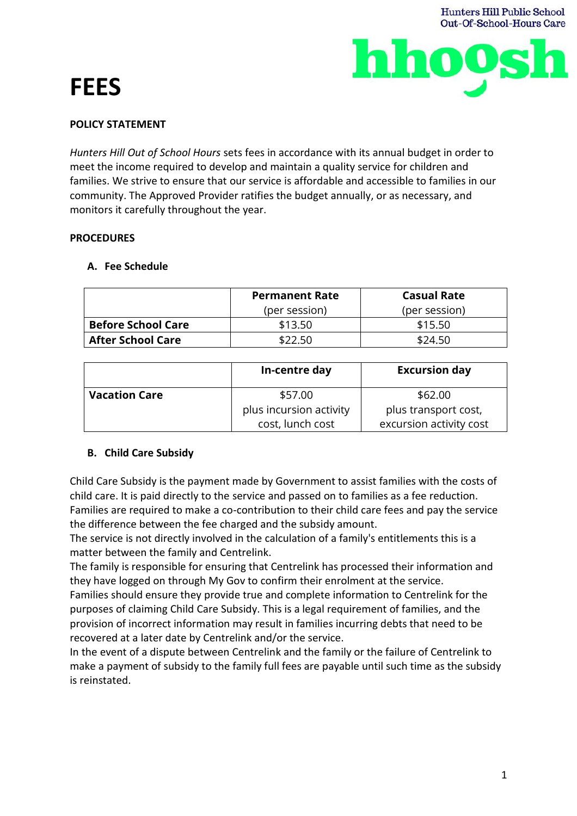# **FEES**





## **POLICY STATEMENT**

*Hunters Hill Out of School Hours* sets fees in accordance with its annual budget in order to meet the income required to develop and maintain a quality service for children and families. We strive to ensure that our service is affordable and accessible to families in our community. The Approved Provider ratifies the budget annually, or as necessary, and monitors it carefully throughout the year.

### **PROCEDURES**

## **A. Fee Schedule**

|                           | <b>Permanent Rate</b> | <b>Casual Rate</b> |  |  |
|---------------------------|-----------------------|--------------------|--|--|
|                           | (per session)         | (per session)      |  |  |
| <b>Before School Care</b> | \$13.50               | \$15.50            |  |  |
| <b>After School Care</b>  | \$22.50               | \$24.50            |  |  |

|                      | In-centre day           | <b>Excursion day</b>    |
|----------------------|-------------------------|-------------------------|
| <b>Vacation Care</b> | \$57.00                 | \$62.00                 |
|                      | plus incursion activity | plus transport cost,    |
|                      | cost, lunch cost        | excursion activity cost |

## **B. Child Care Subsidy**

Child Care Subsidy is the payment made by Government to assist families with the costs of child care. It is paid directly to the service and passed on to families as a fee reduction. Families are required to make a co-contribution to their child care fees and pay the service the difference between the fee charged and the subsidy amount.

The service is not directly involved in the calculation of a family's entitlements this is a matter between the family and Centrelink.

The family is responsible for ensuring that Centrelink has processed their information and they have logged on through My Gov to confirm their enrolment at the service.

Families should ensure they provide true and complete information to Centrelink for the purposes of claiming Child Care Subsidy. This is a legal requirement of families, and the provision of incorrect information may result in families incurring debts that need to be recovered at a later date by Centrelink and/or the service.

In the event of a dispute between Centrelink and the family or the failure of Centrelink to make a payment of subsidy to the family full fees are payable until such time as the subsidy is reinstated.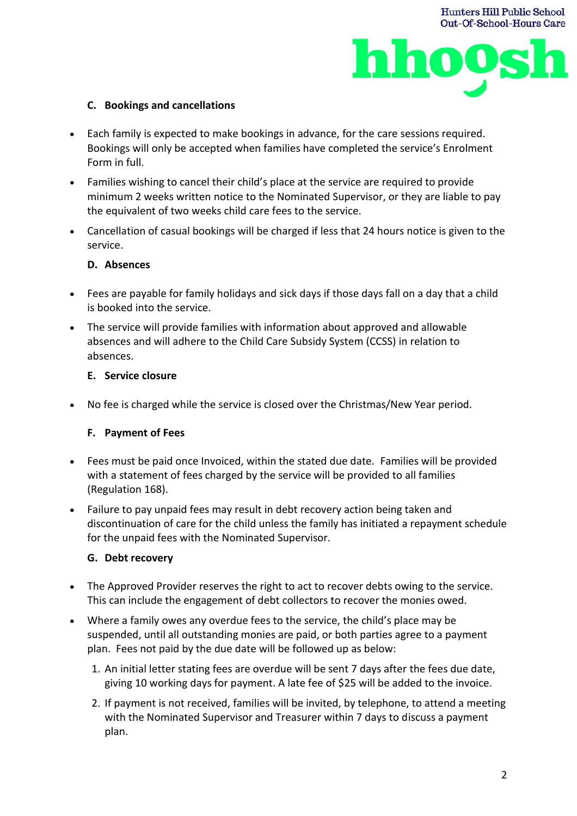



## **C. Bookings and cancellations**

- Each family is expected to make bookings in advance, for the care sessions required. Bookings will only be accepted when families have completed the service's Enrolment Form in full.
- Families wishing to cancel their child's place at the service are required to provide minimum 2 weeks written notice to the Nominated Supervisor, or they are liable to pay the equivalent of two weeks child care fees to the service.
- Cancellation of casual bookings will be charged if less that 24 hours notice is given to the service.

## **D. Absences**

- Fees are payable for family holidays and sick days if those days fall on a day that a child is booked into the service.
- The service will provide families with information about approved and allowable absences and will adhere to the Child Care Subsidy System (CCSS) in relation to absences.

## **E. Service closure**

• No fee is charged while the service is closed over the Christmas/New Year period.

## **F. Payment of Fees**

- Fees must be paid once Invoiced, within the stated due date. Families will be provided with a statement of fees charged by the service will be provided to all families (Regulation 168).
- Failure to pay unpaid fees may result in debt recovery action being taken and discontinuation of care for the child unless the family has initiated a repayment schedule for the unpaid fees with the Nominated Supervisor.

## **G. Debt recovery**

- The Approved Provider reserves the right to act to recover debts owing to the service. This can include the engagement of debt collectors to recover the monies owed.
- Where a family owes any overdue fees to the service, the child's place may be suspended, until all outstanding monies are paid, or both parties agree to a payment plan. Fees not paid by the due date will be followed up as below:
	- 1. An initial letter stating fees are overdue will be sent 7 days after the fees due date, giving 10 working days for payment. A late fee of \$25 will be added to the invoice.
	- 2. If payment is not received, families will be invited, by telephone, to attend a meeting with the Nominated Supervisor and Treasurer within 7 days to discuss a payment plan.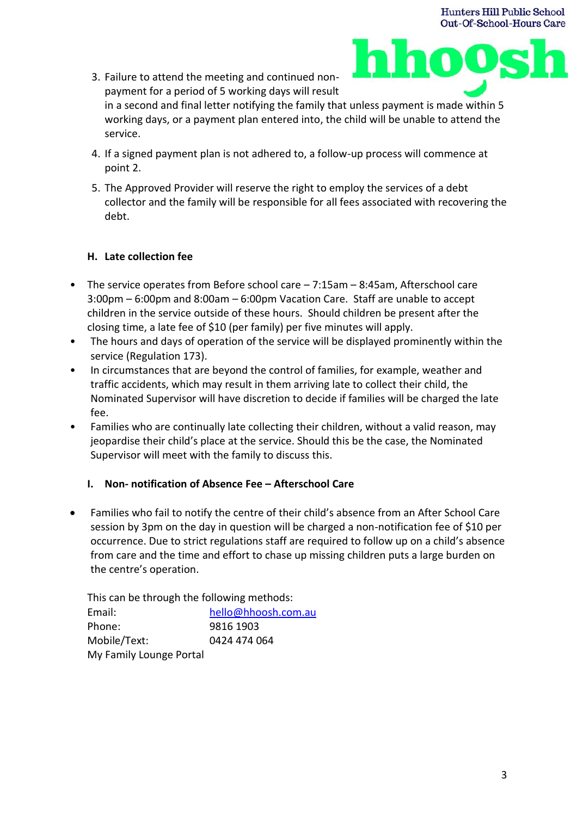3. Failure to attend the meeting and continued nonpayment for a period of 5 working days will result



in a second and final letter notifying the family that unless payment is made within 5 working days, or a payment plan entered into, the child will be unable to attend the service.

- 4. If a signed payment plan is not adhered to, a follow-up process will commence at point 2.
- 5. The Approved Provider will reserve the right to employ the services of a debt collector and the family will be responsible for all fees associated with recovering the debt.

## **H. Late collection fee**

- The service operates from Before school care 7:15am 8:45am, Afterschool care 3:00pm – 6:00pm and 8:00am – 6:00pm Vacation Care. Staff are unable to accept children in the service outside of these hours. Should children be present after the closing time, a late fee of \$10 (per family) per five minutes will apply.
- The hours and days of operation of the service will be displayed prominently within the service (Regulation 173).
- In circumstances that are beyond the control of families, for example, weather and traffic accidents, which may result in them arriving late to collect their child, the Nominated Supervisor will have discretion to decide if families will be charged the late fee.
- Families who are continually late collecting their children, without a valid reason, may jeopardise their child's place at the service. Should this be the case, the Nominated Supervisor will meet with the family to discuss this.

# **I. Non- notification of Absence Fee – Afterschool Care**

• Families who fail to notify the centre of their child's absence from an After School Care session by 3pm on the day in question will be charged a non-notification fee of \$10 per occurrence. Due to strict regulations staff are required to follow up on a child's absence from care and the time and effort to chase up missing children puts a large burden on the centre's operation.

This can be through the following methods:

Email: [hello@hhoosh.com.au](mailto:hello@hhoosh.com.au) Phone: 9816 1903 Mobile/Text: 0424 474 064 My Family Lounge Portal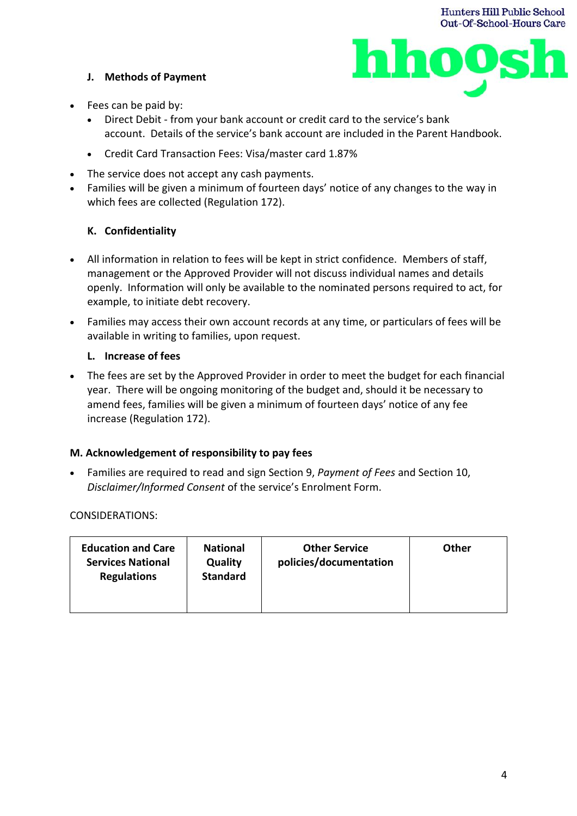## **J. Methods of Payment**



- Fees can be paid by:
	- Direct Debit from your bank account or credit card to the service's bank account. Details of the service's bank account are included in the Parent Handbook.
	- Credit Card Transaction Fees: Visa/master card 1.87%
- The service does not accept any cash payments.
- Families will be given a minimum of fourteen days' notice of any changes to the way in which fees are collected (Regulation 172).

## **K. Confidentiality**

- All information in relation to fees will be kept in strict confidence. Members of staff, management or the Approved Provider will not discuss individual names and details openly. Information will only be available to the nominated persons required to act, for example, to initiate debt recovery.
- Families may access their own account records at any time, or particulars of fees will be available in writing to families, upon request.

### **L. Increase of fees**

• The fees are set by the Approved Provider in order to meet the budget for each financial year. There will be ongoing monitoring of the budget and, should it be necessary to amend fees, families will be given a minimum of fourteen days' notice of any fee increase (Regulation 172).

### **M. Acknowledgement of responsibility to pay fees**

• Families are required to read and sign Section 9, *Payment of Fees* and Section 10, *Disclaimer/Informed Consent* of the service's Enrolment Form.

### CONSIDERATIONS:

| <b>Education and Care</b><br><b>Services National</b><br><b>Regulations</b> | <b>National</b><br>Quality<br><b>Standard</b> | <b>Other Service</b><br>policies/documentation | Other |
|-----------------------------------------------------------------------------|-----------------------------------------------|------------------------------------------------|-------|
|-----------------------------------------------------------------------------|-----------------------------------------------|------------------------------------------------|-------|